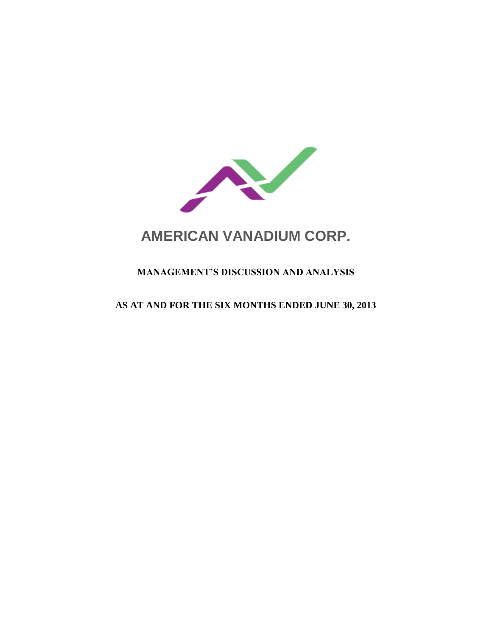

# **AMERICAN VANADIUM CORP.**

# **MANAGEMENT'S DISCUSSION AND ANALYSIS**

## **AS AT AND FOR THE SIX MONTHS ENDED JUNE 30, 2013**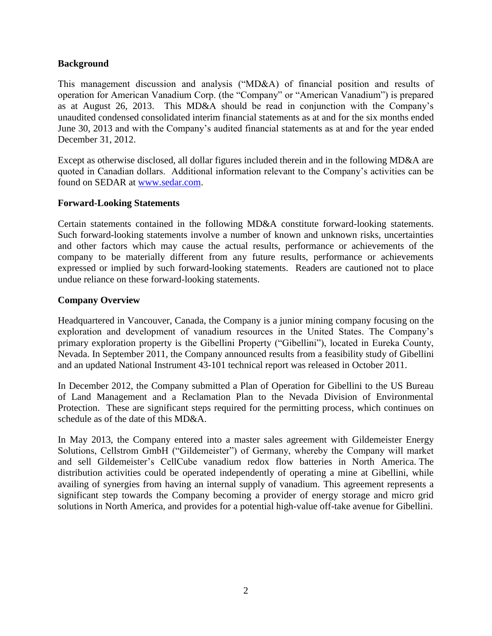## **Background**

This management discussion and analysis ("MD&A) of financial position and results of operation for American Vanadium Corp. (the "Company" or "American Vanadium") is prepared as at August 26, 2013. This MD&A should be read in conjunction with the Company's unaudited condensed consolidated interim financial statements as at and for the six months ended June 30, 2013 and with the Company's audited financial statements as at and for the year ended December 31, 2012.

Except as otherwise disclosed, all dollar figures included therein and in the following MD&A are quoted in Canadian dollars. Additional information relevant to the Company's activities can be found on SEDAR at [www.sedar.com.](http://www.sedar.com/)

## **Forward-Looking Statements**

Certain statements contained in the following MD&A constitute forward-looking statements. Such forward-looking statements involve a number of known and unknown risks, uncertainties and other factors which may cause the actual results, performance or achievements of the company to be materially different from any future results, performance or achievements expressed or implied by such forward-looking statements. Readers are cautioned not to place undue reliance on these forward-looking statements.

## **Company Overview**

Headquartered in Vancouver, Canada, the Company is a junior mining company focusing on the exploration and development of vanadium resources in the United States. The Company's primary exploration property is the Gibellini Property ("Gibellini"), located in Eureka County, Nevada. In September 2011, the Company announced results from a feasibility study of Gibellini and an updated National Instrument 43-101 technical report was released in October 2011.

In December 2012, the Company submitted a Plan of Operation for Gibellini to the US Bureau of Land Management and a Reclamation Plan to the Nevada Division of Environmental Protection. These are significant steps required for the permitting process, which continues on schedule as of the date of this MD&A.

In May 2013, the Company entered into a master sales agreement with Gildemeister Energy Solutions, Cellstrom GmbH ("Gildemeister") of Germany, whereby the Company will market and sell Gildemeister's CellCube vanadium redox flow batteries in North America. The distribution activities could be operated independently of operating a mine at Gibellini, while availing of synergies from having an internal supply of vanadium. This agreement represents a significant step towards the Company becoming a provider of energy storage and micro grid solutions in North America, and provides for a potential high-value off-take avenue for Gibellini.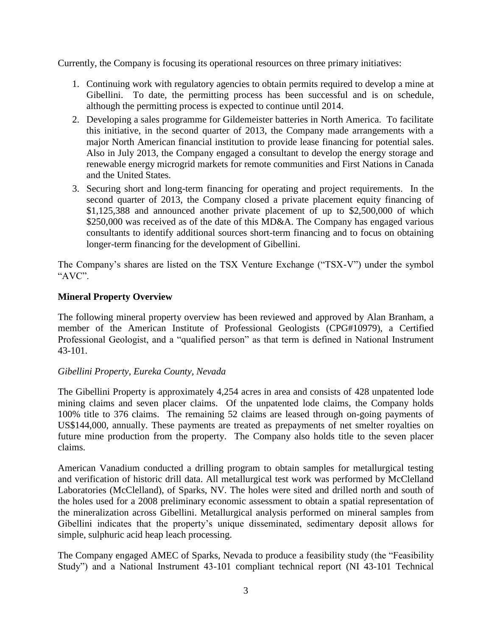Currently, the Company is focusing its operational resources on three primary initiatives:

- 1. Continuing work with regulatory agencies to obtain permits required to develop a mine at Gibellini. To date, the permitting process has been successful and is on schedule, although the permitting process is expected to continue until 2014.
- 2. Developing a sales programme for Gildemeister batteries in North America. To facilitate this initiative, in the second quarter of 2013, the Company made arrangements with a major North American financial institution to provide lease financing for potential sales. Also in July 2013, the Company engaged a consultant to develop the energy storage and renewable energy microgrid markets for remote communities and First Nations in Canada and the United States.
- 3. Securing short and long-term financing for operating and project requirements. In the second quarter of 2013, the Company closed a private placement equity financing of \$1,125,388 and announced another private placement of up to \$2,500,000 of which \$250,000 was received as of the date of this MD&A. The Company has engaged various consultants to identify additional sources short-term financing and to focus on obtaining longer-term financing for the development of Gibellini.

The Company's shares are listed on the TSX Venture Exchange ("TSX-V") under the symbol "AVC".

## **Mineral Property Overview**

The following mineral property overview has been reviewed and approved by Alan Branham, a member of the American Institute of Professional Geologists (CPG#10979), a Certified Professional Geologist, and a "qualified person" as that term is defined in National Instrument 43-101.

## *Gibellini Property, Eureka County, Nevada*

The Gibellini Property is approximately 4,254 acres in area and consists of 428 unpatented lode mining claims and seven placer claims. Of the unpatented lode claims, the Company holds 100% title to 376 claims. The remaining 52 claims are leased through on-going payments of US\$144,000, annually. These payments are treated as prepayments of net smelter royalties on future mine production from the property. The Company also holds title to the seven placer claims.

American Vanadium conducted a drilling program to obtain samples for metallurgical testing and verification of historic drill data. All metallurgical test work was performed by McClelland Laboratories (McClelland), of Sparks, NV. The holes were sited and drilled north and south of the holes used for a 2008 preliminary economic assessment to obtain a spatial representation of the mineralization across Gibellini. Metallurgical analysis performed on mineral samples from Gibellini indicates that the property's unique disseminated, sedimentary deposit allows for simple, sulphuric acid heap leach processing.

The Company engaged AMEC of Sparks, Nevada to produce a feasibility study (the "Feasibility Study") and a National Instrument 43-101 compliant technical report (NI 43-101 Technical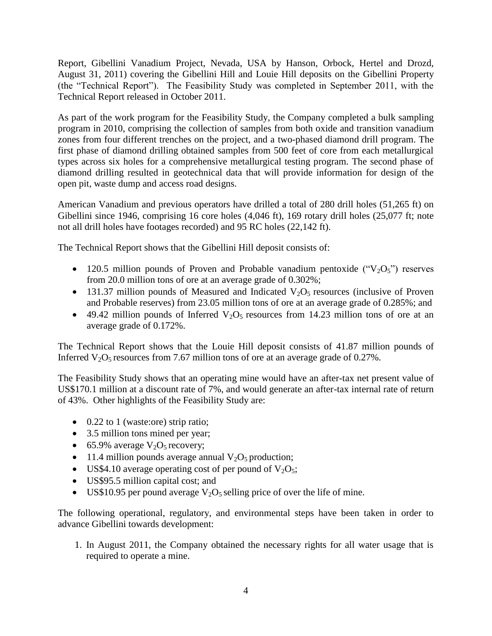Report, Gibellini Vanadium Project, Nevada, USA by Hanson, Orbock, Hertel and Drozd, August 31, 2011) covering the Gibellini Hill and Louie Hill deposits on the Gibellini Property (the "Technical Report"). The Feasibility Study was completed in September 2011, with the Technical Report released in October 2011.

As part of the work program for the Feasibility Study, the Company completed a bulk sampling program in 2010, comprising the collection of samples from both oxide and transition vanadium zones from four different trenches on the project, and a two-phased diamond drill program. The first phase of diamond drilling obtained samples from 500 feet of core from each metallurgical types across six holes for a comprehensive metallurgical testing program. The second phase of diamond drilling resulted in geotechnical data that will provide information for design of the open pit, waste dump and access road designs.

American Vanadium and previous operators have drilled a total of 280 drill holes (51,265 ft) on Gibellini since 1946, comprising 16 core holes (4,046 ft), 169 rotary drill holes (25,077 ft; note not all drill holes have footages recorded) and 95 RC holes (22,142 ft).

The Technical Report shows that the Gibellini Hill deposit consists of:

- 120.5 million pounds of Proven and Probable vanadium pentoxide (" $V_2O_5$ ") reserves from 20.0 million tons of ore at an average grade of 0.302%;
- 131.37 million pounds of Measured and Indicated  $V_2O_5$  resources (inclusive of Proven and Probable reserves) from 23.05 million tons of ore at an average grade of 0.285%; and
- $\bullet$  49.42 million pounds of Inferred V<sub>2</sub>O<sub>5</sub> resources from 14.23 million tons of ore at an average grade of 0.172%.

The Technical Report shows that the Louie Hill deposit consists of 41.87 million pounds of Inferred  $V_2O_5$  resources from 7.67 million tons of ore at an average grade of 0.27%.

The Feasibility Study shows that an operating mine would have an after-tax net present value of US\$170.1 million at a discount rate of 7%, and would generate an after-tax internal rate of return of 43%. Other highlights of the Feasibility Study are:

- 0.22 to 1 (waste:ore) strip ratio;
- 3.5 million tons mined per year;
- 65.9% average  $V_2O_5$  recovery;
- 11.4 million pounds average annual  $V_2O_5$  production;
- US\$4.10 average operating cost of per pound of  $V_2O_5$ ;
- US\$95.5 million capital cost; and
- US\$10.95 per pound average  $V_2O_5$  selling price of over the life of mine.

The following operational, regulatory, and environmental steps have been taken in order to advance Gibellini towards development:

1. In August 2011, the Company obtained the necessary rights for all water usage that is required to operate a mine.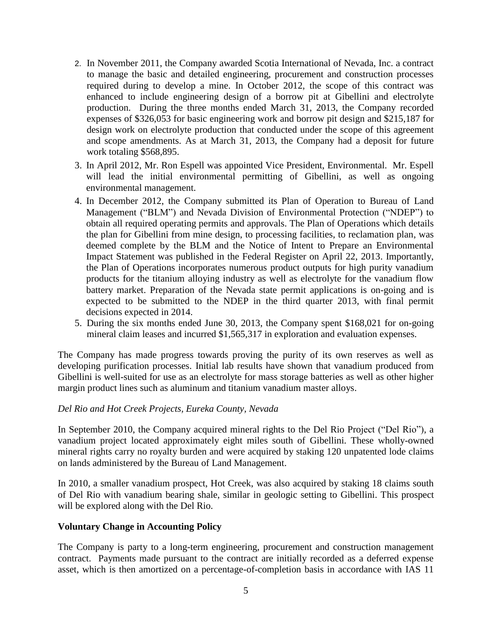- 2. In November 2011, the Company awarded Scotia International of Nevada, Inc. a contract to manage the basic and detailed engineering, procurement and construction processes required during to develop a mine. In October 2012, the scope of this contract was enhanced to include engineering design of a borrow pit at Gibellini and electrolyte production. During the three months ended March 31, 2013, the Company recorded expenses of \$326,053 for basic engineering work and borrow pit design and \$215,187 for design work on electrolyte production that conducted under the scope of this agreement and scope amendments. As at March 31, 2013, the Company had a deposit for future work totaling \$568,895.
- 3. In April 2012, Mr. Ron Espell was appointed Vice President, Environmental. Mr. Espell will lead the initial environmental permitting of Gibellini, as well as ongoing environmental management.
- 4. In December 2012, the Company submitted its Plan of Operation to Bureau of Land Management ("BLM") and Nevada Division of Environmental Protection ("NDEP") to obtain all required operating permits and approvals. The Plan of Operations which details the plan for Gibellini from mine design, to processing facilities, to reclamation plan, was deemed complete by the BLM and the Notice of Intent to Prepare an Environmental Impact Statement was published in the Federal Register on April 22, 2013. Importantly, the Plan of Operations incorporates numerous product outputs for high purity vanadium products for the titanium alloying industry as well as electrolyte for the vanadium flow battery market. Preparation of the Nevada state permit applications is on-going and is expected to be submitted to the NDEP in the third quarter 2013, with final permit decisions expected in 2014.
- 5. During the six months ended June 30, 2013, the Company spent \$168,021 for on-going mineral claim leases and incurred \$1,565,317 in exploration and evaluation expenses.

The Company has made progress towards proving the purity of its own reserves as well as developing purification processes. Initial lab results have shown that vanadium produced from Gibellini is well-suited for use as an electrolyte for mass storage batteries as well as other higher margin product lines such as aluminum and titanium vanadium master alloys.

## *Del Rio and Hot Creek Projects, Eureka County, Nevada*

In September 2010, the Company acquired mineral rights to the Del Rio Project ("Del Rio"), a vanadium project located approximately eight miles south of Gibellini. These wholly-owned mineral rights carry no royalty burden and were acquired by staking 120 unpatented lode claims on lands administered by the Bureau of Land Management.

In 2010, a smaller vanadium prospect, Hot Creek, was also acquired by staking 18 claims south of Del Rio with vanadium bearing shale, similar in geologic setting to Gibellini. This prospect will be explored along with the Del Rio.

## **Voluntary Change in Accounting Policy**

The Company is party to a long-term engineering, procurement and construction management contract. Payments made pursuant to the contract are initially recorded as a deferred expense asset, which is then amortized on a percentage-of-completion basis in accordance with IAS 11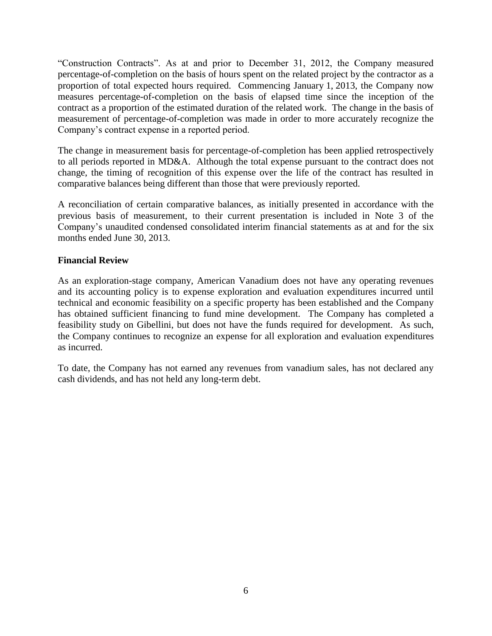"Construction Contracts". As at and prior to December 31, 2012, the Company measured percentage-of-completion on the basis of hours spent on the related project by the contractor as a proportion of total expected hours required. Commencing January 1, 2013, the Company now measures percentage-of-completion on the basis of elapsed time since the inception of the contract as a proportion of the estimated duration of the related work. The change in the basis of measurement of percentage-of-completion was made in order to more accurately recognize the Company's contract expense in a reported period.

The change in measurement basis for percentage-of-completion has been applied retrospectively to all periods reported in MD&A. Although the total expense pursuant to the contract does not change, the timing of recognition of this expense over the life of the contract has resulted in comparative balances being different than those that were previously reported.

A reconciliation of certain comparative balances, as initially presented in accordance with the previous basis of measurement, to their current presentation is included in Note 3 of the Company's unaudited condensed consolidated interim financial statements as at and for the six months ended June 30, 2013.

## **Financial Review**

As an exploration-stage company, American Vanadium does not have any operating revenues and its accounting policy is to expense exploration and evaluation expenditures incurred until technical and economic feasibility on a specific property has been established and the Company has obtained sufficient financing to fund mine development. The Company has completed a feasibility study on Gibellini, but does not have the funds required for development. As such, the Company continues to recognize an expense for all exploration and evaluation expenditures as incurred.

To date, the Company has not earned any revenues from vanadium sales, has not declared any cash dividends, and has not held any long-term debt.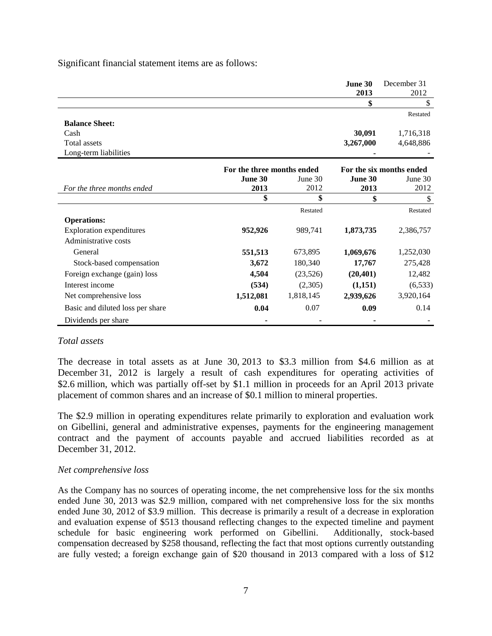Significant financial statement items are as follows:

|                                  |                            |           | June 30<br>2013          | December 31<br>2012 |
|----------------------------------|----------------------------|-----------|--------------------------|---------------------|
|                                  |                            |           |                          |                     |
|                                  |                            |           |                          | Restated            |
| <b>Balance Sheet:</b>            |                            |           |                          |                     |
| Cash                             |                            |           | 30,091                   | 1,716,318           |
| Total assets                     |                            |           | 3,267,000                | 4,648,886           |
| Long-term liabilities            |                            |           |                          |                     |
|                                  | For the three months ended |           | For the six months ended |                     |
|                                  | June 30                    | June 30   | June 30                  | June 30             |
| For the three months ended       | 2013                       | 2012      | 2013                     | 2012                |
|                                  | \$                         | \$        | \$                       |                     |
|                                  |                            | Restated  |                          | Restated            |
| <b>Operations:</b>               |                            |           |                          |                     |
| <b>Exploration expenditures</b>  | 952,926                    | 989,741   | 1,873,735                | 2,386,757           |
| Administrative costs             |                            |           |                          |                     |
| General                          | 551,513                    | 673,895   | 1,069,676                | 1,252,030           |
| Stock-based compensation         | 3,672                      | 180,340   | 17,767                   | 275,428             |
| Foreign exchange (gain) loss     | 4,504                      | (23,526)  | (20, 401)                | 12,482              |
| Interest income                  | (534)                      | (2,305)   | (1,151)                  | (6, 533)            |
| Net comprehensive loss           | 1,512,081                  | 1,818,145 | 2,939,626                | 3,920,164           |
| Basic and diluted loss per share | 0.04                       | 0.07      | 0.09                     | 0.14                |
| Dividends per share              |                            |           |                          |                     |

#### *Total assets*

The decrease in total assets as at June 30, 2013 to \$3.3 million from \$4.6 million as at December 31, 2012 is largely a result of cash expenditures for operating activities of \$2.6 million, which was partially off-set by \$1.1 million in proceeds for an April 2013 private placement of common shares and an increase of \$0.1 million to mineral properties.

The \$2.9 million in operating expenditures relate primarily to exploration and evaluation work on Gibellini, general and administrative expenses, payments for the engineering management contract and the payment of accounts payable and accrued liabilities recorded as at December 31, 2012.

#### *Net comprehensive loss*

As the Company has no sources of operating income, the net comprehensive loss for the six months ended June 30, 2013 was \$2.9 million, compared with net comprehensive loss for the six months ended June 30, 2012 of \$3.9 million. This decrease is primarily a result of a decrease in exploration and evaluation expense of \$513 thousand reflecting changes to the expected timeline and payment schedule for basic engineering work performed on Gibellini. Additionally, stock-based compensation decreased by \$258 thousand, reflecting the fact that most options currently outstanding are fully vested; a foreign exchange gain of \$20 thousand in 2013 compared with a loss of \$12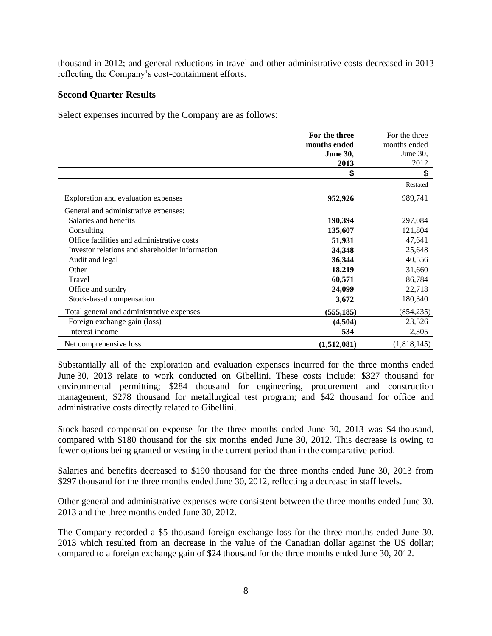thousand in 2012; and general reductions in travel and other administrative costs decreased in 2013 reflecting the Company's cost-containment efforts.

### **Second Quarter Results**

Select expenses incurred by the Company are as follows:

|                                                | For the three   | For the three |
|------------------------------------------------|-----------------|---------------|
|                                                | months ended    | months ended  |
|                                                | <b>June 30,</b> | June $30$ .   |
|                                                | 2013            | 2012          |
|                                                | \$              | \$            |
|                                                |                 | Restated      |
| Exploration and evaluation expenses            | 952,926         | 989,741       |
| General and administrative expenses:           |                 |               |
| Salaries and benefits                          | 190,394         | 297,084       |
| Consulting                                     | 135,607         | 121,804       |
| Office facilities and administrative costs     | 51,931          | 47,641        |
| Investor relations and shareholder information | 34,348          | 25,648        |
| Audit and legal                                | 36,344          | 40,556        |
| Other                                          | 18,219          | 31,660        |
| Travel                                         | 60,571          | 86,784        |
| Office and sundry                              | 24,099          | 22,718        |
| Stock-based compensation                       | 3,672           | 180,340       |
| Total general and administrative expenses      | (555, 185)      | (854, 235)    |
| Foreign exchange gain (loss)                   | (4,504)         | 23,526        |
| Interest income                                | 534             | 2,305         |
| Net comprehensive loss                         | (1,512,081)     | (1,818,145)   |

Substantially all of the exploration and evaluation expenses incurred for the three months ended June 30, 2013 relate to work conducted on Gibellini. These costs include: \$327 thousand for environmental permitting; \$284 thousand for engineering, procurement and construction management; \$278 thousand for metallurgical test program; and \$42 thousand for office and administrative costs directly related to Gibellini.

Stock-based compensation expense for the three months ended June 30, 2013 was \$4 thousand, compared with \$180 thousand for the six months ended June 30, 2012. This decrease is owing to fewer options being granted or vesting in the current period than in the comparative period.

Salaries and benefits decreased to \$190 thousand for the three months ended June 30, 2013 from \$297 thousand for the three months ended June 30, 2012, reflecting a decrease in staff levels.

Other general and administrative expenses were consistent between the three months ended June 30, 2013 and the three months ended June 30, 2012.

The Company recorded a \$5 thousand foreign exchange loss for the three months ended June 30, 2013 which resulted from an decrease in the value of the Canadian dollar against the US dollar; compared to a foreign exchange gain of \$24 thousand for the three months ended June 30, 2012.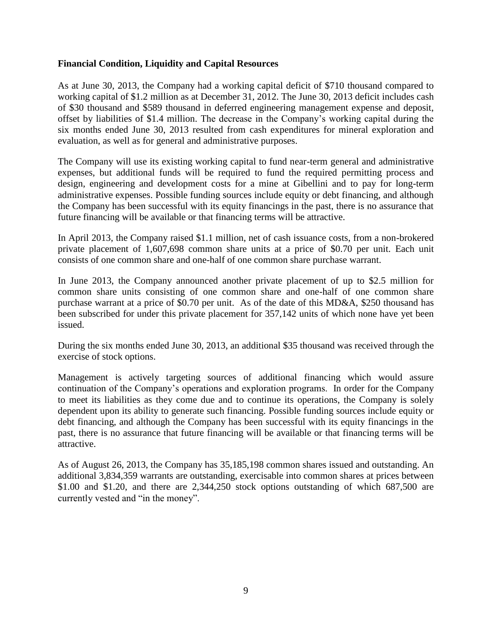## **Financial Condition, Liquidity and Capital Resources**

As at June 30, 2013, the Company had a working capital deficit of \$710 thousand compared to working capital of \$1.2 million as at December 31, 2012. The June 30, 2013 deficit includes cash of \$30 thousand and \$589 thousand in deferred engineering management expense and deposit, offset by liabilities of \$1.4 million. The decrease in the Company's working capital during the six months ended June 30, 2013 resulted from cash expenditures for mineral exploration and evaluation, as well as for general and administrative purposes.

The Company will use its existing working capital to fund near-term general and administrative expenses, but additional funds will be required to fund the required permitting process and design, engineering and development costs for a mine at Gibellini and to pay for long-term administrative expenses. Possible funding sources include equity or debt financing, and although the Company has been successful with its equity financings in the past, there is no assurance that future financing will be available or that financing terms will be attractive.

In April 2013, the Company raised \$1.1 million, net of cash issuance costs, from a non-brokered private placement of 1,607,698 common share units at a price of \$0.70 per unit. Each unit consists of one common share and one-half of one common share purchase warrant.

In June 2013, the Company announced another private placement of up to \$2.5 million for common share units consisting of one common share and one-half of one common share purchase warrant at a price of \$0.70 per unit. As of the date of this MD&A, \$250 thousand has been subscribed for under this private placement for 357,142 units of which none have yet been issued.

During the six months ended June 30, 2013, an additional \$35 thousand was received through the exercise of stock options.

Management is actively targeting sources of additional financing which would assure continuation of the Company's operations and exploration programs. In order for the Company to meet its liabilities as they come due and to continue its operations, the Company is solely dependent upon its ability to generate such financing. Possible funding sources include equity or debt financing, and although the Company has been successful with its equity financings in the past, there is no assurance that future financing will be available or that financing terms will be attractive.

As of August 26, 2013, the Company has 35,185,198 common shares issued and outstanding. An additional 3,834,359 warrants are outstanding, exercisable into common shares at prices between \$1.00 and \$1.20, and there are 2,344,250 stock options outstanding of which 687,500 are currently vested and "in the money".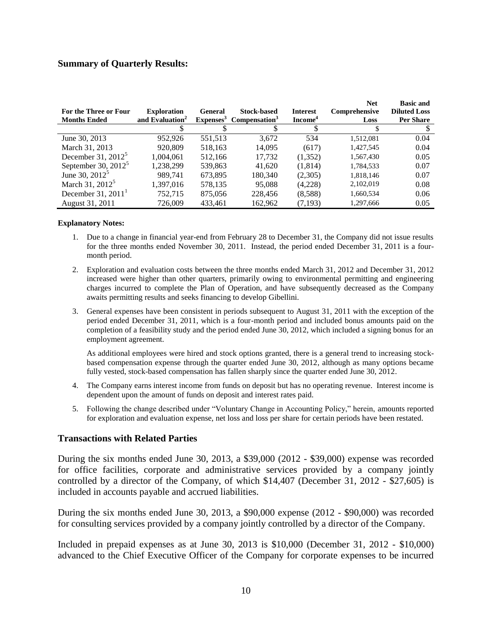## **Summary of Quarterly Results:**

| For the Three or Four<br><b>Months Ended</b> | <b>Exploration</b><br>and Evaluation <sup>2</sup> | General<br>Expenses <sup>3</sup> | <b>Stock-based</b><br>Compensation <sup>3</sup> | <b>Interest</b><br>Income <sup>4</sup> | <b>Net</b><br>Comprehensive<br>Loss | <b>Basic and</b><br><b>Diluted Loss</b><br><b>Per Share</b> |
|----------------------------------------------|---------------------------------------------------|----------------------------------|-------------------------------------------------|----------------------------------------|-------------------------------------|-------------------------------------------------------------|
|                                              |                                                   |                                  |                                                 |                                        |                                     |                                                             |
|                                              |                                                   |                                  |                                                 |                                        |                                     |                                                             |
| June 30, 2013                                | 952.926                                           | 551,513                          | 3.672                                           | 534                                    | 1,512,081                           | 0.04                                                        |
| March 31, 2013                               | 920,809                                           | 518,163                          | 14.095                                          | (617)                                  | 1,427,545                           | 0.04                                                        |
| December 31, $2012^5$                        | 1,004,061                                         | 512,166                          | 17.732                                          | (1,352)                                | 1,567,430                           | 0.05                                                        |
| September 30, $2012^5$                       | 1,238,299                                         | 539,863                          | 41.620                                          | (1,814)                                | 1,784,533                           | 0.07                                                        |
| June 30, 2012 <sup>5</sup>                   | 989.741                                           | 673.895                          | 180.340                                         | (2,305)                                | 1,818,146                           | 0.07                                                        |
| March 31, 2012 <sup>5</sup>                  | 1,397,016                                         | 578,135                          | 95,088                                          | (4,228)                                | 2,102,019                           | 0.08                                                        |
| December 31, $20111$                         | 752.715                                           | 875,056                          | 228,456                                         | (8,588)                                | 1,660,534                           | 0.06                                                        |
| August 31, 2011                              | 726,009                                           | 433,461                          | 162.962                                         | (7.193)                                | 1,297,666                           | 0.05                                                        |

#### **Explanatory Notes:**

- 1. Due to a change in financial year-end from February 28 to December 31, the Company did not issue results for the three months ended November 30, 2011. Instead, the period ended December 31, 2011 is a fourmonth period.
- 2. Exploration and evaluation costs between the three months ended March 31, 2012 and December 31, 2012 increased were higher than other quarters, primarily owing to environmental permitting and engineering charges incurred to complete the Plan of Operation, and have subsequently decreased as the Company awaits permitting results and seeks financing to develop Gibellini.
- 3. General expenses have been consistent in periods subsequent to August 31, 2011 with the exception of the period ended December 31, 2011, which is a four-month period and included bonus amounts paid on the completion of a feasibility study and the period ended June 30, 2012, which included a signing bonus for an employment agreement.

As additional employees were hired and stock options granted, there is a general trend to increasing stockbased compensation expense through the quarter ended June 30, 2012, although as many options became fully vested, stock-based compensation has fallen sharply since the quarter ended June 30, 2012.

- 4. The Company earns interest income from funds on deposit but has no operating revenue. Interest income is dependent upon the amount of funds on deposit and interest rates paid.
- 5. Following the change described under "Voluntary Change in Accounting Policy," herein, amounts reported for exploration and evaluation expense, net loss and loss per share for certain periods have been restated.

#### **Transactions with Related Parties**

During the six months ended June 30, 2013, a \$39,000 (2012 - \$39,000) expense was recorded for office facilities, corporate and administrative services provided by a company jointly controlled by a director of the Company, of which \$14,407 (December 31, 2012 - \$27,605) is included in accounts payable and accrued liabilities.

During the six months ended June 30, 2013, a \$90,000 expense (2012 - \$90,000) was recorded for consulting services provided by a company jointly controlled by a director of the Company.

Included in prepaid expenses as at June 30, 2013 is \$10,000 (December 31, 2012 - \$10,000) advanced to the Chief Executive Officer of the Company for corporate expenses to be incurred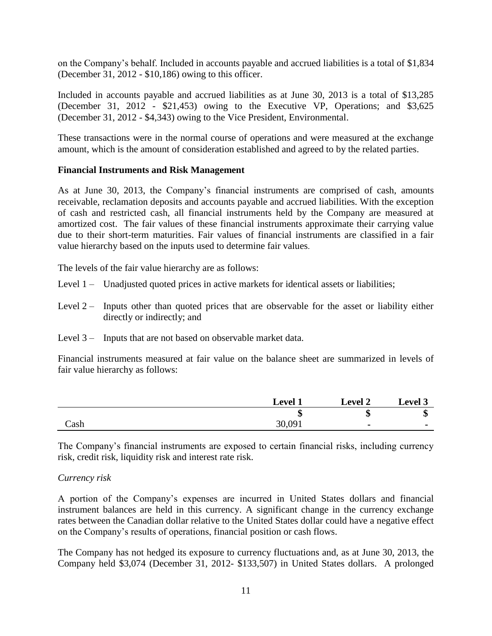on the Company's behalf. Included in accounts payable and accrued liabilities is a total of \$1,834 (December 31, 2012 - \$10,186) owing to this officer.

Included in accounts payable and accrued liabilities as at June 30, 2013 is a total of \$13,285 (December 31, 2012 - \$21,453) owing to the Executive VP, Operations; and \$3,625 (December 31, 2012 - \$4,343) owing to the Vice President, Environmental.

These transactions were in the normal course of operations and were measured at the exchange amount, which is the amount of consideration established and agreed to by the related parties.

## **Financial Instruments and Risk Management**

As at June 30, 2013, the Company's financial instruments are comprised of cash, amounts receivable, reclamation deposits and accounts payable and accrued liabilities. With the exception of cash and restricted cash, all financial instruments held by the Company are measured at amortized cost. The fair values of these financial instruments approximate their carrying value due to their short-term maturities. Fair values of financial instruments are classified in a fair value hierarchy based on the inputs used to determine fair values.

The levels of the fair value hierarchy are as follows:

- Level 1 Unadjusted quoted prices in active markets for identical assets or liabilities;
- Level  $2 -$  Inputs other than quoted prices that are observable for the asset or liability either directly or indirectly; and
- Level 3 Inputs that are not based on observable market data.

Financial instruments measured at fair value on the balance sheet are summarized in levels of fair value hierarchy as follows:

|      | Level <sup>1</sup> | <b>Level 2</b>           | <b>Level 3</b> |
|------|--------------------|--------------------------|----------------|
|      | ٨D                 | ٨D                       | ٨D             |
| Cash | 30,091             | $\overline{\phantom{0}}$ | $\blacksquare$ |

The Company's financial instruments are exposed to certain financial risks, including currency risk, credit risk, liquidity risk and interest rate risk.

## *Currency risk*

A portion of the Company's expenses are incurred in United States dollars and financial instrument balances are held in this currency. A significant change in the currency exchange rates between the Canadian dollar relative to the United States dollar could have a negative effect on the Company's results of operations, financial position or cash flows.

The Company has not hedged its exposure to currency fluctuations and, as at June 30, 2013, the Company held \$3,074 (December 31, 2012- \$133,507) in United States dollars. A prolonged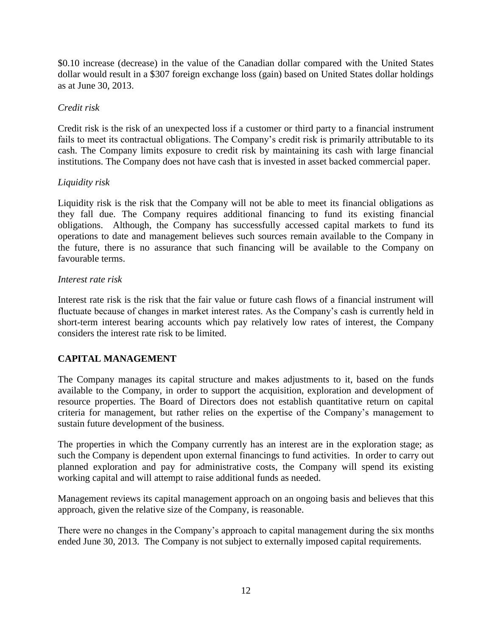\$0.10 increase (decrease) in the value of the Canadian dollar compared with the United States dollar would result in a \$307 foreign exchange loss (gain) based on United States dollar holdings as at June 30, 2013.

## *Credit risk*

Credit risk is the risk of an unexpected loss if a customer or third party to a financial instrument fails to meet its contractual obligations. The Company's credit risk is primarily attributable to its cash. The Company limits exposure to credit risk by maintaining its cash with large financial institutions. The Company does not have cash that is invested in asset backed commercial paper.

## *Liquidity risk*

Liquidity risk is the risk that the Company will not be able to meet its financial obligations as they fall due. The Company requires additional financing to fund its existing financial obligations. Although, the Company has successfully accessed capital markets to fund its operations to date and management believes such sources remain available to the Company in the future, there is no assurance that such financing will be available to the Company on favourable terms.

## *Interest rate risk*

Interest rate risk is the risk that the fair value or future cash flows of a financial instrument will fluctuate because of changes in market interest rates. As the Company's cash is currently held in short-term interest bearing accounts which pay relatively low rates of interest, the Company considers the interest rate risk to be limited.

## **CAPITAL MANAGEMENT**

The Company manages its capital structure and makes adjustments to it, based on the funds available to the Company, in order to support the acquisition, exploration and development of resource properties. The Board of Directors does not establish quantitative return on capital criteria for management, but rather relies on the expertise of the Company's management to sustain future development of the business.

The properties in which the Company currently has an interest are in the exploration stage; as such the Company is dependent upon external financings to fund activities. In order to carry out planned exploration and pay for administrative costs, the Company will spend its existing working capital and will attempt to raise additional funds as needed.

Management reviews its capital management approach on an ongoing basis and believes that this approach, given the relative size of the Company, is reasonable.

There were no changes in the Company's approach to capital management during the six months ended June 30, 2013. The Company is not subject to externally imposed capital requirements.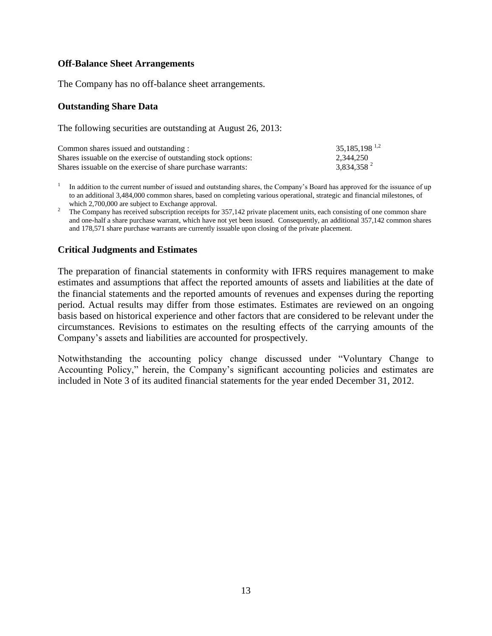### **Off-Balance Sheet Arrangements**

The Company has no off-balance sheet arrangements.

#### **Outstanding Share Data**

The following securities are outstanding at August 26, 2013:

| Common shares issued and outstanding:                          | $35,185,198$ <sup>1,2</sup> |
|----------------------------------------------------------------|-----------------------------|
| Shares is suable on the exercise of outstanding stock options: | 2,344,250                   |
| Shares is suable on the exercise of share purchase warrants:   | 3,834,358 <sup>2</sup>      |

1 In addition to the current number of issued and outstanding shares, the Company's Board has approved for the issuance of up to an additional 3,484,000 common shares, based on completing various operational, strategic and financial milestones, of which 2,700,000 are subject to Exchange approval.

<sup>2</sup> The Company has received subscription receipts for 357,142 private placement units, each consisting of one common share and one-half a share purchase warrant, which have not yet been issued. Consequently, an additional 357,142 common shares and 178,571 share purchase warrants are currently issuable upon closing of the private placement.

## **Critical Judgments and Estimates**

The preparation of financial statements in conformity with IFRS requires management to make estimates and assumptions that affect the reported amounts of assets and liabilities at the date of the financial statements and the reported amounts of revenues and expenses during the reporting period. Actual results may differ from those estimates. Estimates are reviewed on an ongoing basis based on historical experience and other factors that are considered to be relevant under the circumstances. Revisions to estimates on the resulting effects of the carrying amounts of the Company's assets and liabilities are accounted for prospectively.

Notwithstanding the accounting policy change discussed under "Voluntary Change to Accounting Policy," herein, the Company's significant accounting policies and estimates are included in Note 3 of its audited financial statements for the year ended December 31, 2012.